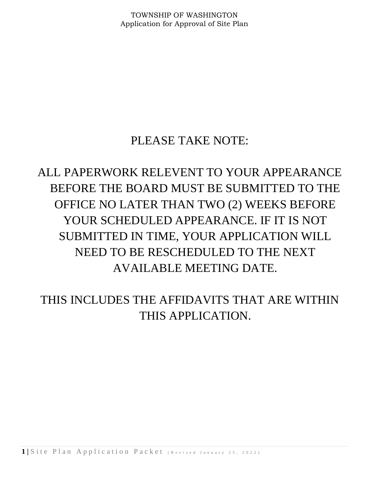## PLEASE TAKE NOTE:

# ALL PAPERWORK RELEVENT TO YOUR APPEARANCE BEFORE THE BOARD MUST BE SUBMITTED TO THE OFFICE NO LATER THAN TWO (2) WEEKS BEFORE YOUR SCHEDULED APPEARANCE. IF IT IS NOT SUBMITTED IN TIME, YOUR APPLICATION WILL NEED TO BE RESCHEDULED TO THE NEXT AVAILABLE MEETING DATE.

THIS INCLUDES THE AFFIDAVITS THAT ARE WITHIN THIS APPLICATION.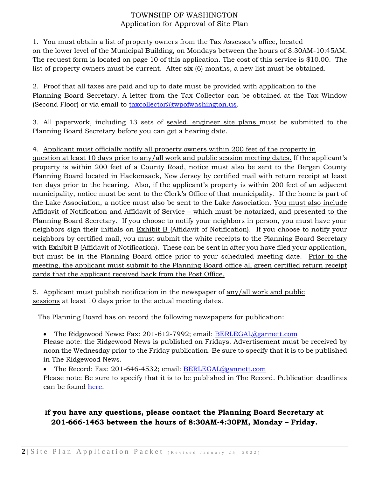1. You must obtain a list of property owners from the Tax Assessor's office, located on the lower level of the Municipal Building, on Mondays between the hours of 8:30AM-10:45AM. The request form is located on page 10 of this application. The cost of this service is \$10.00. The list of property owners must be current. After six (6) months, a new list must be obtained.

2. Proof that all taxes are paid and up to date must be provided with application to the Planning Board Secretary. A letter from the Tax Collector can be obtained at the Tax Window (Second Floor) or via email to [taxcollector@twpofwashington.us.](mailto:taxcollector@twpofwashington.us)

3. All paperwork, including 13 sets of sealed, engineer site plans must be submitted to the Planning Board Secretary before you can get a hearing date.

#### 4. Applicant must officially notify all property owners within 200 feet of the property in

question at least 10 days prior to any/all work and public session meeting dates. If the applicant's property is within 200 feet of a County Road, notice must also be sent to the Bergen County Planning Board located in Hackensack, New Jersey by certified mail with return receipt at least ten days prior to the hearing. Also, if the applicant's property is within 200 feet of an adjacent municipality, notice must be sent to the Clerk's Office of that municipality. If the home is part of the Lake Association, a notice must also be sent to the Lake Association. You must also include Affidavit of Notification and Affidavit of Service – which must be notarized, and presented to the Planning Board Secretary. If you choose to notify your neighbors in person, you must have your neighbors sign their initials on Exhibit B (Affidavit of Notification). If you choose to notify your neighbors by certified mail, you must submit the white receipts to the Planning Board Secretary with Exhibit B (Affidavit of Notification). These can be sent in after you have filed your application, but must be in the Planning Board office prior to your scheduled meeting date. Prior to the meeting, the applicant must submit to the Planning Board office all green certified return receipt cards that the applicant received back from the Post Office.

5. Applicant must publish notification in the newspaper of any/all work and public sessions at least 10 days prior to the actual meeting dates.

The Planning Board has on record the following newspapers for publication:

• The Ridgewood News**:** Fax: 201-612-7992; email: [BERLEGAL@gannett.com](mailto:BERLEGAL@gannett.com)

Please note: the Ridgewood News is published on Fridays. Advertisement must be received by noon the Wednesday prior to the Friday publication. Be sure to specify that it is to be published in The Ridgewood News.

• The Record: Fax: 201-646-4532; email: [BERLEGAL@gannett.com](mailto:BERLEGAL@gannett.com)

Please note: Be sure to specify that it is to be published in The Record. Publication deadlines can be found [here.](https://www.twpofwashington.us/home/180006394/180006394/Images/PUBLIC%20NOTICE%20DEADLINES.pdf)

## **If you have any questions, please contact the Planning Board Secretary at 201-666-1463 between the hours of 8:30AM-4:30PM, Monday – Friday.**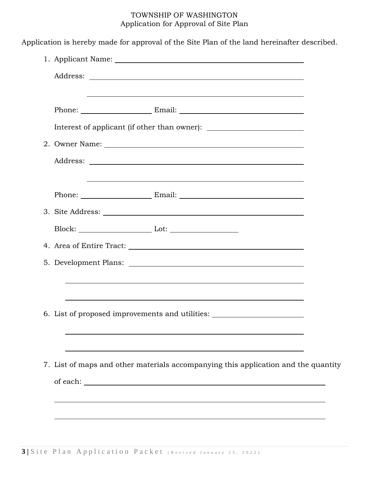| <u> 1989 - Johann Stoff, amerikansk politiker (* 1908)</u>                                                                                                                                             |  |
|--------------------------------------------------------------------------------------------------------------------------------------------------------------------------------------------------------|--|
|                                                                                                                                                                                                        |  |
| Interest of applicant (if other than owner): ___________________________________                                                                                                                       |  |
|                                                                                                                                                                                                        |  |
|                                                                                                                                                                                                        |  |
| <u> 1989 - Johann Stoff, deutscher Stoffen und der Stoffen und der Stoffen und der Stoffen und der Stoffen und der</u>                                                                                 |  |
|                                                                                                                                                                                                        |  |
|                                                                                                                                                                                                        |  |
|                                                                                                                                                                                                        |  |
|                                                                                                                                                                                                        |  |
|                                                                                                                                                                                                        |  |
| ,我们也不会有什么。""我们的人,我们也不会有什么?""我们的人,我们也不会有什么?""我们的人,我们也不会有什么?""我们的人,我们也不会有什么?""我们的人                                                                                                                       |  |
|                                                                                                                                                                                                        |  |
| 6. List of proposed improvements and utilities: ________________________________                                                                                                                       |  |
|                                                                                                                                                                                                        |  |
|                                                                                                                                                                                                        |  |
| and the control of the control of the control of the control of the control of the control of the control of the<br>7. List of maps and other materials accompanying this application and the quantity |  |
|                                                                                                                                                                                                        |  |
|                                                                                                                                                                                                        |  |
|                                                                                                                                                                                                        |  |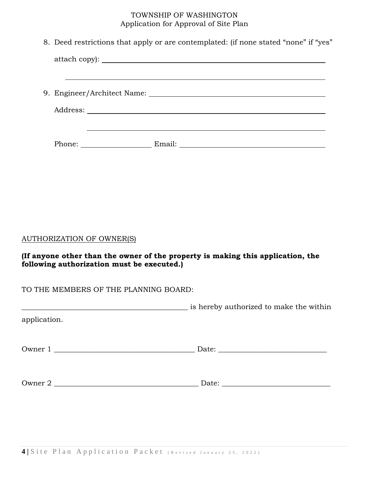| 8. Deed restrictions that apply or are contemplated: (if none stated "none" if "yes" |
|--------------------------------------------------------------------------------------|
| attach copy):                                                                        |
|                                                                                      |
|                                                                                      |
|                                                                                      |
|                                                                                      |
|                                                                                      |

## AUTHORIZATION OF OWNER(S)

**(If anyone other than the owner of the property is making this application, the following authorization must be executed.)**

## TO THE MEMBERS OF THE PLANNING BOARD:

|              | is hereby authorized to make the within |
|--------------|-----------------------------------------|
| application. |                                         |
|              |                                         |
| Owner 1      |                                         |
|              |                                         |
|              |                                         |
| Owner 2      |                                         |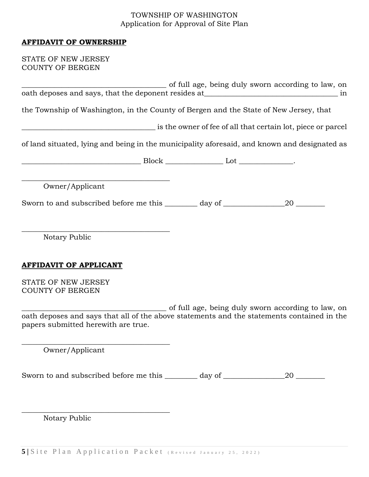#### **AFFIDAVIT OF OWNERSHIP**

STATE OF NEW JERSEY COUNTY OF BERGEN

|                                                                                                                                   |  | of full age, being duly sworn according to law, on           |  |
|-----------------------------------------------------------------------------------------------------------------------------------|--|--------------------------------------------------------------|--|
| oath deposes and says, that the deponent resides at _____________________________<br>in                                           |  |                                                              |  |
| the Township of Washington, in the County of Bergen and the State of New Jersey, that                                             |  |                                                              |  |
|                                                                                                                                   |  | is the owner of fee of all that certain lot, piece or parcel |  |
| of land situated, lying and being in the municipality aforesaid, and known and designated as                                      |  |                                                              |  |
| $\qquad \qquad \text{Block} \qquad \qquad \text{Lot} \qquad \qquad \text{.}$                                                      |  |                                                              |  |
|                                                                                                                                   |  |                                                              |  |
| Owner/Applicant                                                                                                                   |  |                                                              |  |
|                                                                                                                                   |  |                                                              |  |
|                                                                                                                                   |  |                                                              |  |
| Notary Public                                                                                                                     |  |                                                              |  |
|                                                                                                                                   |  |                                                              |  |
| <b>AFFIDAVIT OF APPLICANT</b>                                                                                                     |  |                                                              |  |
| STATE OF NEW JERSEY<br><b>COUNTY OF BERGEN</b>                                                                                    |  |                                                              |  |
|                                                                                                                                   |  | of full age, being duly sworn according to law, on           |  |
| oath deposes and says that all of the above statements and the statements contained in the<br>papers submitted herewith are true. |  |                                                              |  |
| Owner/Applicant                                                                                                                   |  |                                                              |  |
| Sworn to and subscribed before me this _______ day of __________________________                                                  |  |                                                              |  |
|                                                                                                                                   |  |                                                              |  |
| Notary Public                                                                                                                     |  |                                                              |  |

5 | Site Plan Application Packet (Revised January 25, 2022)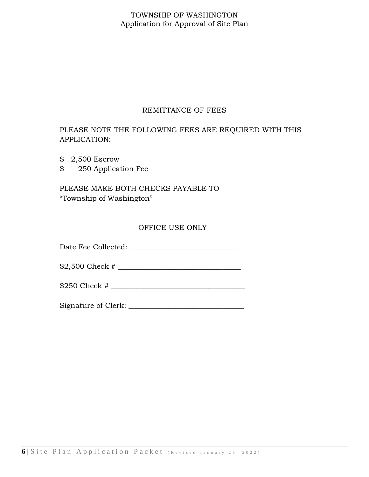#### REMITTANCE OF FEES

## PLEASE NOTE THE FOLLOWING FEES ARE REQUIRED WITH THIS APPLICATION:

- \$ 2,500 Escrow
- \$ 250 Application Fee

PLEASE MAKE BOTH CHECKS PAYABLE TO "Township of Washington"

#### OFFICE USE ONLY

Date Fee Collected: \_\_\_\_\_\_\_\_\_\_\_\_\_\_\_\_\_\_\_\_\_\_\_\_\_\_\_\_\_\_

\$2,500 Check # \_\_\_\_\_\_\_\_\_\_\_\_\_\_\_\_\_\_\_\_\_\_\_\_\_\_\_\_\_\_\_\_\_\_

\$250 Check # \_\_\_\_\_\_\_\_\_\_\_\_\_\_\_\_\_\_\_\_\_\_\_\_\_\_\_\_\_\_\_\_\_\_\_\_\_

Signature of Clerk: \_\_\_\_\_\_\_\_\_\_\_\_\_\_\_\_\_\_\_\_\_\_\_\_\_\_\_\_\_\_\_\_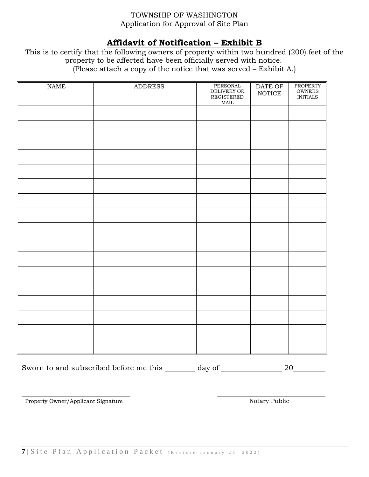## **Affidavit of Notification – Exhibit B**

This is to certify that the following owners of property within two hundred (200) feet of the property to be affected have been officially served with notice. (Please attach a copy of the notice that was served – Exhibit A.)

| $\ensuremath{\mathsf{NAME}}$ | <b>ADDRESS</b> | PERSONAL<br>DELIVERY OR<br>REGISTERED<br>$\operatorname{MAIL}$ | $\overline{\text{DATE Of}}$<br>$\operatorname{NOTICE}$ | PROPERTY<br>${\small \textsf{OWNERS}}$<br>$\sf INITIALS$ |
|------------------------------|----------------|----------------------------------------------------------------|--------------------------------------------------------|----------------------------------------------------------|
|                              |                |                                                                |                                                        |                                                          |
|                              |                |                                                                |                                                        |                                                          |
|                              |                |                                                                |                                                        |                                                          |
|                              |                |                                                                |                                                        |                                                          |
|                              |                |                                                                |                                                        |                                                          |
|                              |                |                                                                |                                                        |                                                          |
|                              |                |                                                                |                                                        |                                                          |
|                              |                |                                                                |                                                        |                                                          |
|                              |                |                                                                |                                                        |                                                          |
|                              |                |                                                                |                                                        |                                                          |
|                              |                |                                                                |                                                        |                                                          |
|                              |                |                                                                |                                                        |                                                          |
|                              |                |                                                                |                                                        |                                                          |
|                              |                |                                                                |                                                        |                                                          |
|                              |                |                                                                |                                                        |                                                          |
|                              |                |                                                                |                                                        |                                                          |
|                              |                |                                                                |                                                        |                                                          |

Sworn to and subscribed before me this \_\_\_\_\_\_ day of \_\_\_\_\_\_\_\_\_\_\_\_\_\_\_\_ 20\_\_\_\_\_\_\_\_

Property Owner/Applicant Signature Notary Public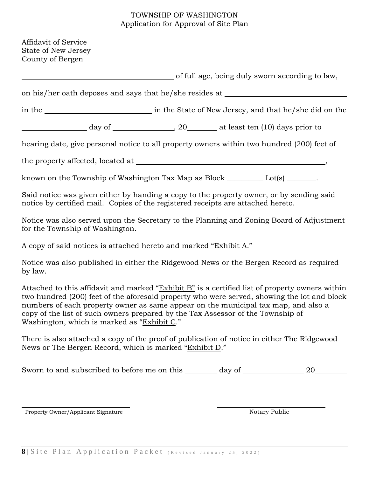| Affidavit of Service<br>State of New Jersey<br>County of Bergen                                                                                                                                                                                                                                                                                                                                                        |  |  |  |                                                 |
|------------------------------------------------------------------------------------------------------------------------------------------------------------------------------------------------------------------------------------------------------------------------------------------------------------------------------------------------------------------------------------------------------------------------|--|--|--|-------------------------------------------------|
|                                                                                                                                                                                                                                                                                                                                                                                                                        |  |  |  | of full age, being duly sworn according to law, |
| on his/her oath deposes and says that he/she resides at ________________________                                                                                                                                                                                                                                                                                                                                       |  |  |  |                                                 |
|                                                                                                                                                                                                                                                                                                                                                                                                                        |  |  |  |                                                 |
|                                                                                                                                                                                                                                                                                                                                                                                                                        |  |  |  |                                                 |
| hearing date, give personal notice to all property owners within two hundred (200) feet of                                                                                                                                                                                                                                                                                                                             |  |  |  |                                                 |
|                                                                                                                                                                                                                                                                                                                                                                                                                        |  |  |  |                                                 |
| known on the Township of Washington Tax Map as Block $\_\_\_\_\_\_$ Lot(s) $\_\_\_\_\_\_\_$ .                                                                                                                                                                                                                                                                                                                          |  |  |  |                                                 |
| Said notice was given either by handing a copy to the property owner, or by sending said<br>notice by certified mail. Copies of the registered receipts are attached hereto.                                                                                                                                                                                                                                           |  |  |  |                                                 |
| Notice was also served upon the Secretary to the Planning and Zoning Board of Adjustment<br>for the Township of Washington.                                                                                                                                                                                                                                                                                            |  |  |  |                                                 |
| A copy of said notices is attached hereto and marked "Exhibit A."                                                                                                                                                                                                                                                                                                                                                      |  |  |  |                                                 |
| Notice was also published in either the Ridgewood News or the Bergen Record as required<br>by law.                                                                                                                                                                                                                                                                                                                     |  |  |  |                                                 |
| Attached to this affidavit and marked "Exhibit B" is a certified list of property owners within<br>two hundred (200) feet of the aforesaid property who were served, showing the lot and block<br>numbers of each property owner as same appear on the municipal tax map, and also a<br>copy of the list of such owners prepared by the Tax Assessor of the Township of<br>Washington, which is marked as "Exhibit C." |  |  |  |                                                 |
| There is also attached a copy of the proof of publication of notice in either The Ridgewood<br>News or The Bergen Record, which is marked "Exhibit D."                                                                                                                                                                                                                                                                 |  |  |  |                                                 |
| Sworn to and subscribed to before me on this ________ day of ________________ 20___________                                                                                                                                                                                                                                                                                                                            |  |  |  |                                                 |
|                                                                                                                                                                                                                                                                                                                                                                                                                        |  |  |  |                                                 |

Property Owner/Applicant Signature Notary Public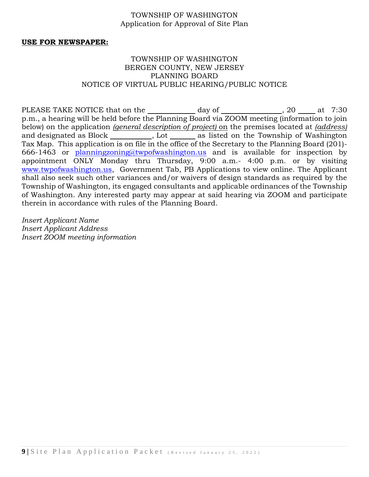#### **USE FOR NEWSPAPER:**

#### TOWNSHIP OF WASHINGTON BERGEN COUNTY, NEW JERSEY PLANNING BOARD NOTICE OF VIRTUAL PUBLIC HEARING/PUBLIC NOTICE

PLEASE TAKE NOTICE that on the  $\frac{1}{2}$  day of  $\frac{1}{2}$ , 20  $\frac{1}{2}$  at 7:30 p.m., a hearing will be held before the Planning Board via ZOOM meeting (information to join below) on the application *(general description of project)* on the premises located at *(address)* and designated as Block \_\_\_\_\_\_\_\_\_\_, Lot \_\_\_\_\_\_ as listed on the Township of Washington Tax Map. This application is on file in the office of the Secretary to the Planning Board (201) 666-1463 or [planningzoning@twpofwashington.us](mailto:planningzoning@twpofwashington.us) and is available for inspection by appointment ONLY Monday thru Thursday, 9:00 a.m.- 4:00 p.m. or by visiting [www.twpofwashington.us,](http://www.twpofwashington.us/) Government Tab, PB Applications to view online. The Applicant shall also seek such other variances and/or waivers of design standards as required by the Township of Washington, its engaged consultants and applicable ordinances of the Township of Washington. Any interested party may appear at said hearing via ZOOM and participate therein in accordance with rules of the Planning Board.

*Insert Applicant Name Insert Applicant Address Insert ZOOM meeting information*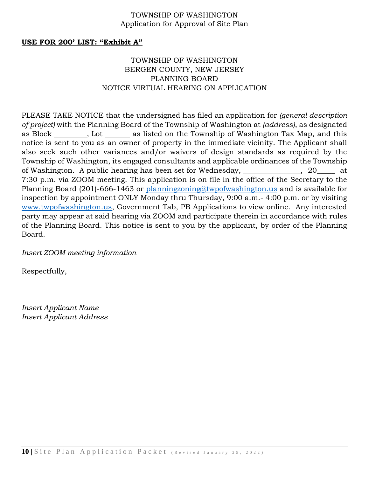#### **USE FOR 200' LIST: "Exhibit A"**

### TOWNSHIP OF WASHINGTON BERGEN COUNTY, NEW JERSEY PLANNING BOARD NOTICE VIRTUAL HEARING ON APPLICATION

PLEASE TAKE NOTICE that the undersigned has filed an application for *(general description of project)* with the Planning Board of the Township of Washington at *(address)*, as designated as Block \_\_\_\_\_\_\_\_, Lot \_\_\_\_\_\_\_ as listed on the Township of Washington Tax Map, and this notice is sent to you as an owner of property in the immediate vicinity. The Applicant shall also seek such other variances and/or waivers of design standards as required by the Township of Washington, its engaged consultants and applicable ordinances of the Township of Washington. A public hearing has been set for Wednesday, \_\_\_\_\_\_\_\_\_\_\_\_\_, 20\_\_\_\_ at 7:30 p.m. via ZOOM meeting. This application is on file in the office of the Secretary to the Planning Board (201)-666-1463 or [planningzoning@twpofwashington.us](mailto:planningzoning@twpofwashington.us) and is available for inspection by appointment ONLY Monday thru Thursday, 9:00 a.m.- 4:00 p.m. or by visiting [www.twpofwashington.us,](http://www.twpofwashington.us/) Government Tab, PB Applications to view online. Any interested party may appear at said hearing via ZOOM and participate therein in accordance with rules of the Planning Board. This notice is sent to you by the applicant, by order of the Planning Board.

*Insert ZOOM meeting information*

Respectfully,

*Insert Applicant Name Insert Applicant Address*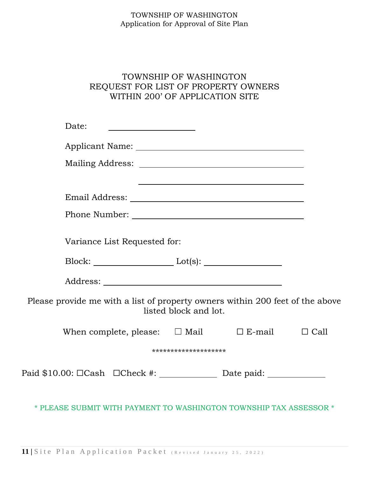## TOWNSHIP OF WASHINGTON REQUEST FOR LIST OF PROPERTY OWNERS WITHIN 200' OF APPLICATION SITE

| Date:                                                                                                  |             |
|--------------------------------------------------------------------------------------------------------|-------------|
|                                                                                                        |             |
|                                                                                                        |             |
|                                                                                                        |             |
|                                                                                                        |             |
|                                                                                                        |             |
| Variance List Requested for:                                                                           |             |
| $Block:$ $Lot(s):$                                                                                     |             |
|                                                                                                        |             |
| Please provide me with a list of property owners within 200 feet of the above<br>listed block and lot. |             |
| When complete, please: $\Box$ Mail<br>$\square$ E-mail                                                 | $\Box$ Call |
| ********************                                                                                   |             |
| Paid \$10.00: □Cash □Check #: ________________ Date paid: _______________________                      |             |
| * PLEASE SUBMIT WITH PAYMENT TO WASHINGTON TOWNSHIP TAX ASSESSOR *                                     |             |